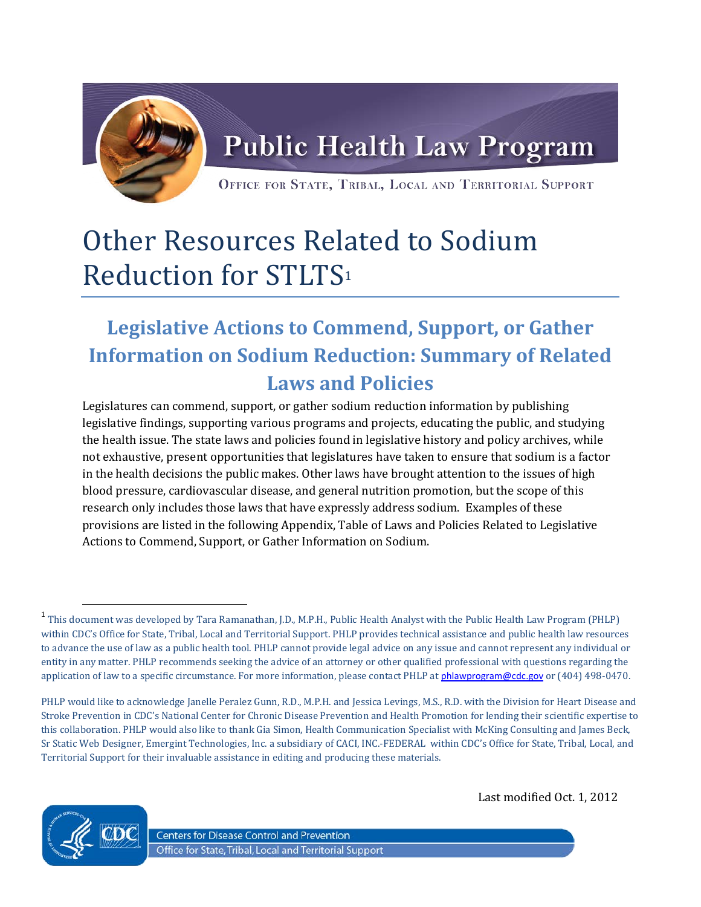

## Other Resources Related to Sodium Reduction for STLTS[1](#page-0-0)

## **Legislative Actions to Commend, Support, or Gather Information on Sodium Reduction: Summary of Related Laws and Policies**

Legislatures can commend, support, or gather sodium reduction information by publishing legislative findings, supporting various programs and projects, educating the public, and studying the health issue. The state laws and policies found in legislative history and policy archives, while not exhaustive, present opportunities that legislatures have taken to ensure that sodium is a factor in the health decisions the public makes. Other laws have brought attention to the issues of high blood pressure, cardiovascular disease, and general nutrition promotion, but the scope of this research only includes those laws that have expressly address sodium. Examples of these provisions are listed in the following Appendix, Table of Laws and Policies Related to Legislative Actions to Commend, Support, or Gather Information on Sodium.

PHLP would like to acknowledge Janelle Peralez Gunn, R.D., M.P.H. and Jessica Levings, M.S., R.D. with the Division for Heart Disease and Stroke Prevention in CDC's National Center for Chronic Disease Prevention and Health Promotion for lending their scientific expertise to this collaboration. PHLP would also like to thank Gia Simon, Health Communication Specialist with McKing Consulting and James Beck, Sr Static Web Designer, Emergint Technologies, Inc. a subsidiary of CACI, INC.-FEDERAL within CDC's Office for State, Tribal, Local, and Territorial Support for their invaluable assistance in editing and producing these materials.



Last modified Oct. 1, 2012

**Centers for Disease Control and Prevention** Office for State, Tribal, Local and Territorial Support

<span id="page-0-0"></span><sup>&</sup>lt;sup>1</sup> This document was developed by Tara Ramanathan, J.D., M.P.H., Public Health Analyst with the Public Health Law Program (PHLP) within CDC's Office for State, Tribal, Local and Territorial Support. PHLP provides technical assistance and public health law resources to advance the use of law as a public health tool. PHLP cannot provide legal advice on any issue and cannot represent any individual or entity in any matter. PHLP recommends seeking the advice of an attorney or other qualified professional with questions regarding the application of law to a specific circumstance. For more information, please contact PHLP at [phlawprogram@cdc.gov](mailto:phlawprogram@cdc.gov) or (404) 498-0470.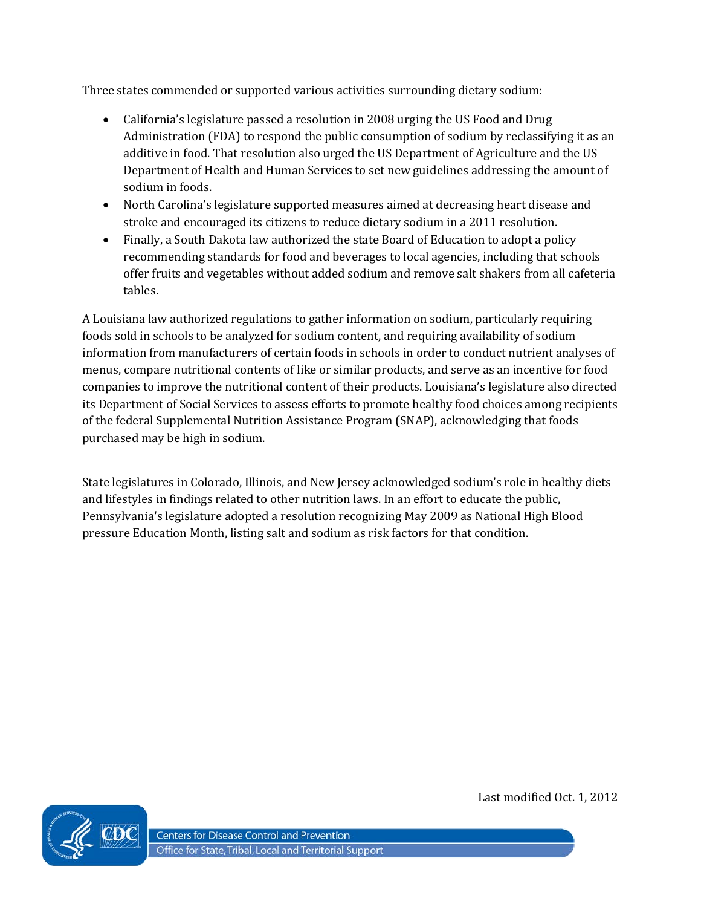Three states commended or supported various activities surrounding dietary sodium:

- California's legislature passed a resolution in 2008 urging the US Food and Drug Administration (FDA) to respond the public consumption of sodium by reclassifying it as an additive in food. That resolution also urged the US Department of Agriculture and the US Department of Health and Human Services to set new guidelines addressing the amount of sodium in foods.
- North Carolina's legislature supported measures aimed at decreasing heart disease and stroke and encouraged its citizens to reduce dietary sodium in a 2011 resolution.
- Finally, a South Dakota law authorized the state Board of Education to adopt a policy recommending standards for food and beverages to local agencies, including that schools offer fruits and vegetables without added sodium and remove salt shakers from all cafeteria tables.

A Louisiana law authorized regulations to gather information on sodium, particularly requiring foods sold in schools to be analyzed for sodium content, and requiring availability of sodium information from manufacturers of certain foods in schools in order to conduct nutrient analyses of menus, compare nutritional contents of like or similar products, and serve as an incentive for food companies to improve the nutritional content of their products. Louisiana's legislature also directed its Department of Social Services to assess efforts to promote healthy food choices among recipients of the federal Supplemental Nutrition Assistance Program (SNAP), acknowledging that foods purchased may be high in sodium.

State legislatures in Colorado, Illinois, and New Jersey acknowledged sodium's role in healthy diets and lifestyles in findings related to other nutrition laws. In an effort to educate the public, Pennsylvania's legislature adopted a resolution recognizing May 2009 as National High Blood pressure Education Month, listing salt and sodium as risk factors for that condition.



Last modified Oct. 1, 2012

**Centers for Disease Control and Prevention** Office for State, Tribal, Local and Territorial Support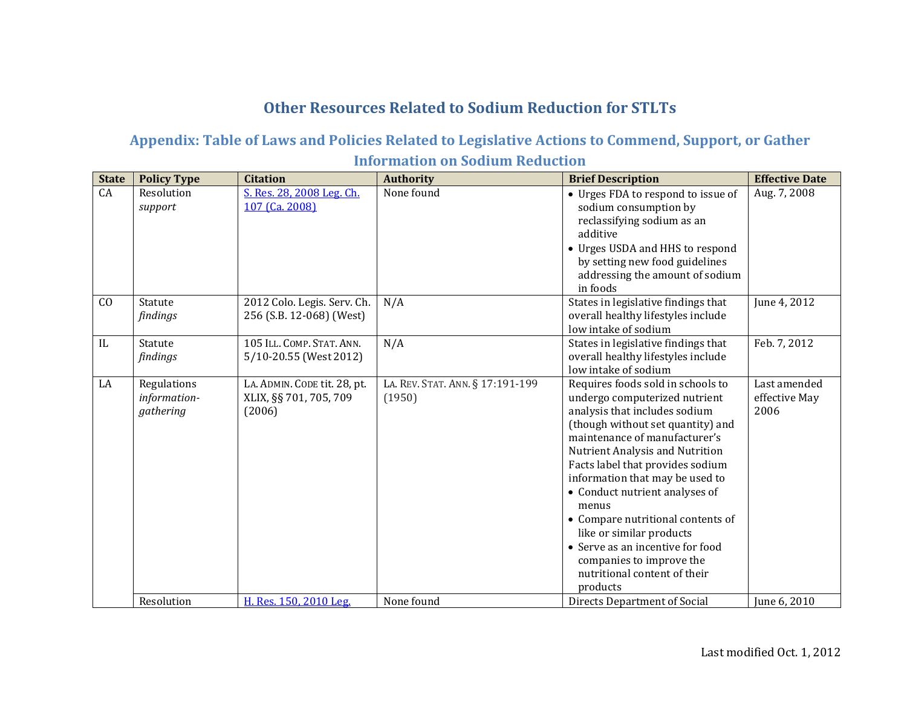## **Other Resources Related to Sodium Reduction for STLTs**

## **Appendix: Table of Laws and Policies Related to Legislative Actions to Commend, Support, or Gather Information on Sodium Reduction**

| <b>State</b> | <b>Policy Type</b>                       | <b>Citation</b>                                                  | <b>Authority</b>                           | <b>Brief Description</b>                                                                                                                                                                                                                                                                                                                                                                                                                                                                                    | <b>Effective Date</b>                 |
|--------------|------------------------------------------|------------------------------------------------------------------|--------------------------------------------|-------------------------------------------------------------------------------------------------------------------------------------------------------------------------------------------------------------------------------------------------------------------------------------------------------------------------------------------------------------------------------------------------------------------------------------------------------------------------------------------------------------|---------------------------------------|
| CA           | Resolution<br>support                    | S. Res. 28, 2008 Leg. Ch.<br>107 (Ca. 2008)                      | None found                                 | • Urges FDA to respond to issue of<br>sodium consumption by<br>reclassifying sodium as an<br>additive<br>• Urges USDA and HHS to respond<br>by setting new food guidelines<br>addressing the amount of sodium<br>in foods                                                                                                                                                                                                                                                                                   | Aug. 7, 2008                          |
| CO           | Statute<br>findings                      | 2012 Colo. Legis. Serv. Ch.<br>256 (S.B. 12-068) (West)          | N/A                                        | States in legislative findings that<br>overall healthy lifestyles include<br>low intake of sodium                                                                                                                                                                                                                                                                                                                                                                                                           | June 4, 2012                          |
| IL           | Statute<br>findings                      | 105 ILL. COMP. STAT. ANN.<br>5/10-20.55 (West 2012)              | N/A                                        | States in legislative findings that<br>overall healthy lifestyles include<br>low intake of sodium                                                                                                                                                                                                                                                                                                                                                                                                           | Feb. 7, 2012                          |
| LA           | Regulations<br>information-<br>gathering | LA. ADMIN. CODE tit. 28, pt.<br>XLIX, §§ 701, 705, 709<br>(2006) | LA. REV. STAT. ANN. § 17:191-199<br>(1950) | Requires foods sold in schools to<br>undergo computerized nutrient<br>analysis that includes sodium<br>(though without set quantity) and<br>maintenance of manufacturer's<br>Nutrient Analysis and Nutrition<br>Facts label that provides sodium<br>information that may be used to<br>• Conduct nutrient analyses of<br>menus<br>• Compare nutritional contents of<br>like or similar products<br>• Serve as an incentive for food<br>companies to improve the<br>nutritional content of their<br>products | Last amended<br>effective May<br>2006 |
|              | Resolution                               | H. Res. 150, 2010 Leg.                                           | None found                                 | Directs Department of Social                                                                                                                                                                                                                                                                                                                                                                                                                                                                                | June 6, 2010                          |